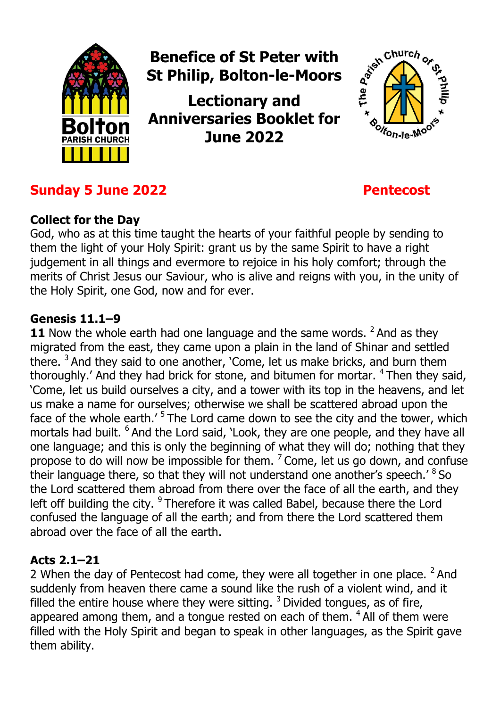

# **Sunday 5 June 2022 Pentecost**

### **Collect for the Day**

God, who as at this time taught the hearts of your faithful people by sending to them the light of your Holy Spirit: grant us by the same Spirit to have a right judgement in all things and evermore to rejoice in his holy comfort; through the merits of Christ Jesus our Saviour, who is alive and reigns with you, in the unity of the Holy Spirit, one God, now and for ever.

#### **Genesis 11.1–9**

**11** Now the whole earth had one language and the same words. <sup>2</sup> And as they migrated from the east, they came upon a plain in the land of Shinar and settled there.  $3$  And they said to one another, 'Come, let us make bricks, and burn them thoroughly.' And they had brick for stone, and bitumen for mortar.  $4$  Then they said, 'Come, let us build ourselves a city, and a tower with its top in the heavens, and let us make a name for ourselves; otherwise we shall be scattered abroad upon the face of the whole earth.' <sup>5</sup> The Lord came down to see the city and the tower, which mortals had built. <sup>6</sup> And the Lord said, 'Look, they are one people, and they have all one language; and this is only the beginning of what they will do; nothing that they propose to do will now be impossible for them.  $\frac{7}{2}$  Come, let us go down, and confuse their language there, so that they will not understand one another's speech.' <sup>8</sup> So the Lord scattered them abroad from there over the face of all the earth, and they left off building the city. <sup>9</sup> Therefore it was called Babel, because there the Lord confused the language of all the earth; and from there the Lord scattered them abroad over the face of all the earth.

### **Acts 2.1–21**

2 When the day of Pentecost had come, they were all together in one place.  $2$  And suddenly from heaven there came a sound like the rush of a violent wind, and it filled the entire house where they were sitting.  $3$  Divided tongues, as of fire, appeared among them, and a tongue rested on each of them.  $4$  All of them were filled with the Holy Spirit and began to speak in other languages, as the Spirit gave them ability.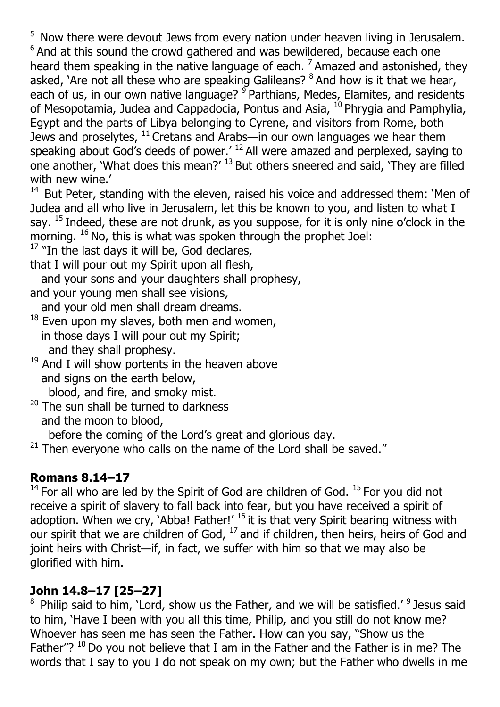<sup>5</sup> Now there were devout Jews from every nation under heaven living in Jerusalem.  $6$  And at this sound the crowd gathered and was bewildered, because each one heard them speaking in the native language of each.  $<sup>7</sup>$  Amazed and astonished, they</sup> asked, 'Are not all these who are speaking Galileans? <sup>8</sup> And how is it that we hear, each of us, in our own native language? <sup>9</sup> Parthians, Medes, Elamites, and residents of Mesopotamia, Judea and Cappadocia, Pontus and Asia,  $^{10}$  Phrygia and Pamphylia, Egypt and the parts of Libya belonging to Cyrene, and visitors from Rome, both Jews and proselytes,  $^{11}$  Cretans and Arabs—in our own languages we hear them speaking about God's deeds of power.<sup> $12$ </sup> All were amazed and perplexed, saying to one another, 'What does this mean?' 13 But others sneered and said, 'They are filled with new wine.'

<sup>14</sup> But Peter, standing with the eleven, raised his voice and addressed them: 'Men of Judea and all who live in Jerusalem, let this be known to you, and listen to what I say.  $^{15}$  Indeed, these are not drunk, as you suppose, for it is only nine o'clock in the morning. <sup>16</sup> No, this is what was spoken through the prophet Joel:

 $17$  "In the last days it will be, God declares,

that I will pour out my Spirit upon all flesh,

and your sons and your daughters shall prophesy,

- and your young men shall see visions, and your old men shall dream dreams.
- $18$  Even upon my slaves, both men and women, in those days I will pour out my Spirit; and they shall prophesy.
- $19$  And I will show portents in the heaven above and signs on the earth below,

blood, and fire, and smoky mist.

<sup>20</sup> The sun shall be turned to darkness and the moon to blood,

before the coming of the Lord's great and glorious day.

 $21$  Then everyone who calls on the name of the Lord shall be saved."

# **Romans 8.14–17**

 $14$  For all who are led by the Spirit of God are children of God.  $15$  For you did not receive a spirit of slavery to fall back into fear, but you have received a spirit of adoption. When we cry, 'Abba! Father!'  $^{16}$  it is that very Spirit bearing witness with our spirit that we are children of God, <sup>17</sup> and if children, then heirs, heirs of God and joint heirs with Christ—if, in fact, we suffer with him so that we may also be glorified with him.

# **John 14.8–17 [25–27]**

 $8$  Philip said to him, 'Lord, show us the Father, and we will be satisfied.'  $9$  Jesus said to him, 'Have I been with you all this time, Philip, and you still do not know me? Whoever has seen me has seen the Father. How can you say, "Show us the Father"?  $10$  Do you not believe that I am in the Father and the Father is in me? The words that I say to you I do not speak on my own; but the Father who dwells in me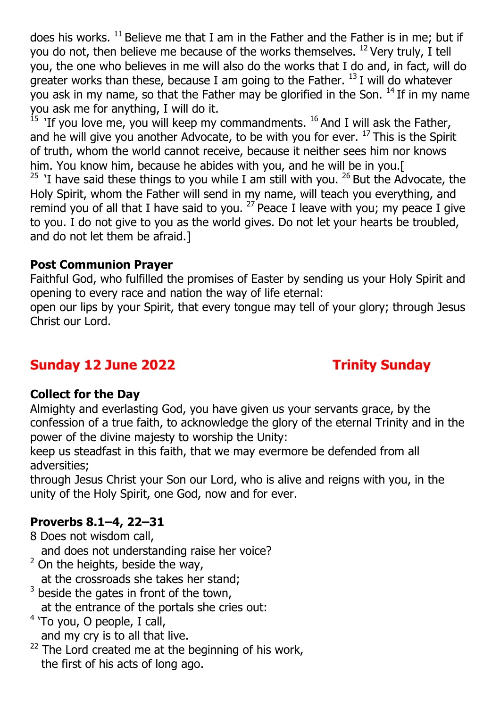does his works.  $^{11}$  Believe me that I am in the Father and the Father is in me; but if you do not, then believe me because of the works themselves.  $^{12}$  Very truly, I tell you, the one who believes in me will also do the works that I do and, in fact, will do greater works than these, because I am going to the Father.  $^{13}$  I will do whatever you ask in my name, so that the Father may be glorified in the Son.  $14$  If in my name you ask me for anything, I will do it.

<sup>15</sup> 'If you love me, you will keep my commandments. <sup>16</sup> And I will ask the Father, and he will give you another Advocate, to be with you for ever.  $^{17}$  This is the Spirit of truth, whom the world cannot receive, because it neither sees him nor knows him. You know him, because he abides with you, and he will be in you.[

<sup>25</sup> 'I have said these things to you while I am still with you. <sup>26</sup> But the Advocate, the Holy Spirit, whom the Father will send in my name, will teach you everything, and remind you of all that I have said to you.  $27$  Peace I leave with you; my peace I give to you. I do not give to you as the world gives. Do not let your hearts be troubled, and do not let them be afraid.]

## **Post Communion Prayer**

Faithful God, who fulfilled the promises of Easter by sending us your Holy Spirit and opening to every race and nation the way of life eternal:

open our lips by your Spirit, that every tongue may tell of your glory; through Jesus Christ our Lord.

# **Sunday 12 June 2022 Trinity Sunday**

### **Collect for the Day**

Almighty and everlasting God, you have given us your servants grace, by the confession of a true faith, to acknowledge the glory of the eternal Trinity and in the power of the divine majesty to worship the Unity:

keep us steadfast in this faith, that we may evermore be defended from all adversities;

through Jesus Christ your Son our Lord, who is alive and reigns with you, in the unity of the Holy Spirit, one God, now and for ever.

### **Proverbs 8.1–4, 22–31**

8 Does not wisdom call,

and does not understanding raise her voice?

 $2$  On the heights, beside the way,

at the crossroads she takes her stand;

 $3$  beside the gates in front of the town,

at the entrance of the portals she cries out:

- $4$  'To you, O people, I call,
- and my cry is to all that live.
- $22$  The Lord created me at the beginning of his work, the first of his acts of long ago.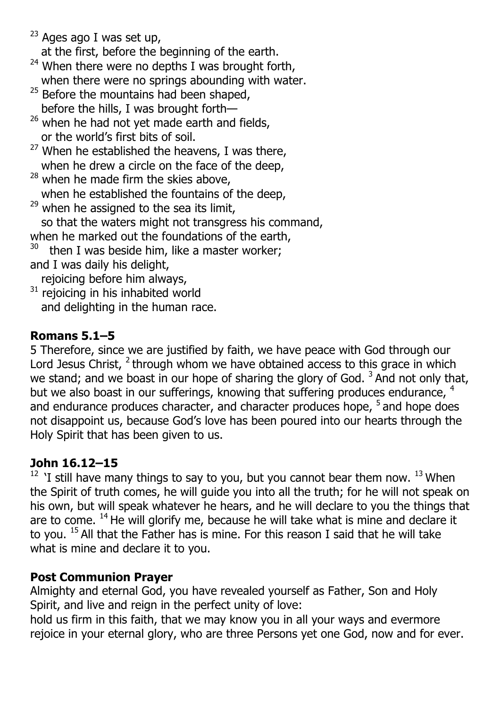$23$  Ages ago I was set up,

at the first, before the beginning of the earth.

- $24$  When there were no depths I was brought forth, when there were no springs abounding with water.
- $25$  Before the mountains had been shaped, before the hills, I was brought forth—
- $26$  when he had not yet made earth and fields, or the world's first bits of soil.
- $27$  When he established the heavens, I was there, when he drew a circle on the face of the deep,
- $28$  when he made firm the skies above,
- when he established the fountains of the deep,
- $29$  when he assigned to the sea its limit, so that the waters might not transgress his command,
- when he marked out the foundations of the earth,
- $30$  then I was beside him, like a master worker; and I was daily his delight,
- rejoicing before him always,
- $31$  rejoicing in his inhabited world and delighting in the human race.

## **Romans 5.1–5**

5 Therefore, since we are justified by faith, we have peace with God through our Lord Jesus Christ,  $2$  through whom we have obtained access to this grace in which we stand; and we boast in our hope of sharing the glory of God.  $3$  And not only that, but we also boast in our sufferings, knowing that suffering produces endurance, <sup>4</sup> and endurance produces character, and character produces hope, <sup>5</sup> and hope does not disappoint us, because God's love has been poured into our hearts through the Holy Spirit that has been given to us.

## **John 16.12–15**

 $12$  'I still have many things to say to you, but you cannot bear them now.  $13$  When the Spirit of truth comes, he will guide you into all the truth; for he will not speak on his own, but will speak whatever he hears, and he will declare to you the things that are to come.  $14$  He will glorify me, because he will take what is mine and declare it to you.  $15$  All that the Father has is mine. For this reason I said that he will take what is mine and declare it to you.

## **Post Communion Prayer**

Almighty and eternal God, you have revealed yourself as Father, Son and Holy Spirit, and live and reign in the perfect unity of love:

hold us firm in this faith, that we may know you in all your ways and evermore rejoice in your eternal glory, who are three Persons yet one God, now and for ever.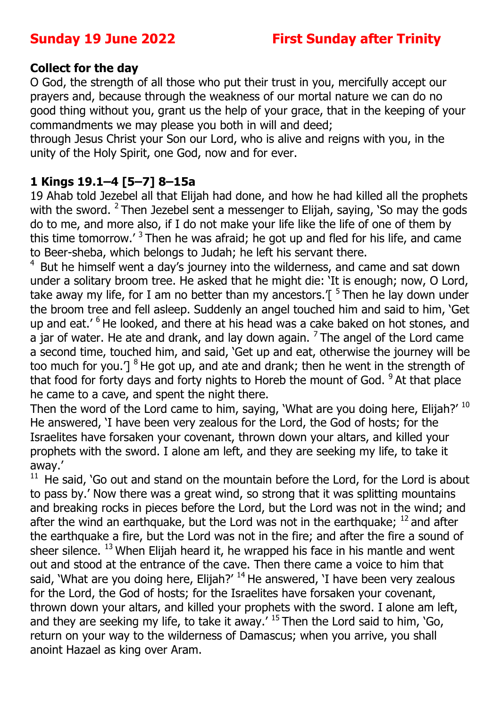### **Collect for the day**

O God, the strength of all those who put their trust in you, mercifully accept our prayers and, because through the weakness of our mortal nature we can do no good thing without you, grant us the help of your grace, that in the keeping of your commandments we may please you both in will and deed;

through Jesus Christ your Son our Lord, who is alive and reigns with you, in the unity of the Holy Spirit, one God, now and for ever.

## **1 Kings 19.1–4 [5–7] 8–15a**

19 Ahab told Jezebel all that Elijah had done, and how he had killed all the prophets with the sword. <sup>2</sup> Then Jezebel sent a messenger to Elijah, saying, 'So may the gods do to me, and more also, if I do not make your life like the life of one of them by this time tomorrow.<sup> $\frac{3}{1}$ </sup> Then he was afraid; he got up and fled for his life, and came to Beer-sheba, which belongs to Judah; he left his servant there.

 $4$  But he himself went a day's journey into the wilderness, and came and sat down under a solitary broom tree. He asked that he might die: 'It is enough; now, O Lord, take away my life, for I am no better than my ancestors.  $\int$ <sup>5</sup> Then he lay down under the broom tree and fell asleep. Suddenly an angel touched him and said to him, 'Get up and eat.' <sup>6</sup> He looked, and there at his head was a cake baked on hot stones, and a jar of water. He ate and drank, and lay down again.  $<sup>7</sup>$  The angel of the Lord came</sup> a second time, touched him, and said, 'Get up and eat, otherwise the journey will be too much for you.']  $8$  He got up, and ate and drank; then he went in the strength of that food for forty days and forty nights to Horeb the mount of God.  $9$  At that place he came to a cave, and spent the night there.

Then the word of the Lord came to him, saying, 'What are you doing here, Elijah?' 10 He answered, 'I have been very zealous for the Lord, the God of hosts; for the Israelites have forsaken your covenant, thrown down your altars, and killed your prophets with the sword. I alone am left, and they are seeking my life, to take it away.'

 $11$  He said, 'Go out and stand on the mountain before the Lord, for the Lord is about to pass by.' Now there was a great wind, so strong that it was splitting mountains and breaking rocks in pieces before the Lord, but the Lord was not in the wind; and after the wind an earthquake, but the Lord was not in the earthquake;  $^{12}$  and after the earthquake a fire, but the Lord was not in the fire; and after the fire a sound of sheer silence. <sup>13</sup> When Elijah heard it, he wrapped his face in his mantle and went out and stood at the entrance of the cave. Then there came a voice to him that said, 'What are you doing here, Elijah?'  $14$  He answered, 'I have been very zealous for the Lord, the God of hosts; for the Israelites have forsaken your covenant, thrown down your altars, and killed your prophets with the sword. I alone am left, and they are seeking my life, to take it away.'  $15$  Then the Lord said to him, 'Go, return on your way to the wilderness of Damascus; when you arrive, you shall anoint Hazael as king over Aram.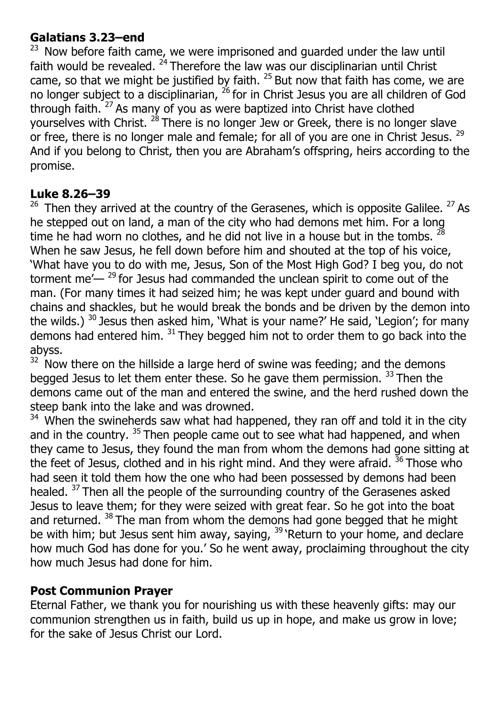## **Galatians 3.23–end**

 $23$  Now before faith came, we were imprisoned and guarded under the law until faith would be revealed.  $24$  Therefore the law was our disciplinarian until Christ came, so that we might be justified by faith.  $25$  But now that faith has come, we are no longer subject to a disciplinarian, <sup>26</sup> for in Christ Jesus you are all children of God through faith. 27 As many of you as were baptized into Christ have clothed yourselves with Christ.  $^{28}$  There is no longer Jew or Greek, there is no longer slave or free, there is no longer male and female; for all of you are one in Christ Jesus. <sup>29</sup> And if you belong to Christ, then you are Abraham's offspring, heirs according to the promise.

### **Luke 8.26–39**

 $26$  Then they arrived at the country of the Gerasenes, which is opposite Galilee.  $27$  As he stepped out on land, a man of the city who had demons met him. For a long time he had worn no clothes, and he did not live in a house but in the tombs.  $^{28}$ When he saw Jesus, he fell down before him and shouted at the top of his voice, 'What have you to do with me, Jesus, Son of the Most High God? I beg you, do not torment me $-$ <sup>29</sup> for Jesus had commanded the unclean spirit to come out of the man. (For many times it had seized him; he was kept under guard and bound with chains and shackles, but he would break the bonds and be driven by the demon into the wilds.)  $30$  Jesus then asked him, 'What is your name?' He said, 'Legion'; for many demons had entered him.  $31$  They begged him not to order them to go back into the abyss.

 $32$  Now there on the hillside a large herd of swine was feeding; and the demons begged Jesus to let them enter these. So he gave them permission.  $33$  Then the demons came out of the man and entered the swine, and the herd rushed down the steep bank into the lake and was drowned.

 $34$  When the swineherds saw what had happened, they ran off and told it in the city and in the country.  $35$  Then people came out to see what had happened, and when they came to Jesus, they found the man from whom the demons had gone sitting at the feet of Jesus, clothed and in his right mind. And they were afraid.  $36$  Those who had seen it told them how the one who had been possessed by demons had been healed. <sup>37</sup> Then all the people of the surrounding country of the Gerasenes asked Jesus to leave them; for they were seized with great fear. So he got into the boat and returned.  $38$  The man from whom the demons had gone begged that he might be with him; but Jesus sent him away, saying, <sup>39</sup> 'Return to your home, and declare how much God has done for you.' So he went away, proclaiming throughout the city how much Jesus had done for him.

### **Post Communion Prayer**

Eternal Father, we thank you for nourishing us with these heavenly gifts: may our communion strengthen us in faith, build us up in hope, and make us grow in love; for the sake of Jesus Christ our Lord.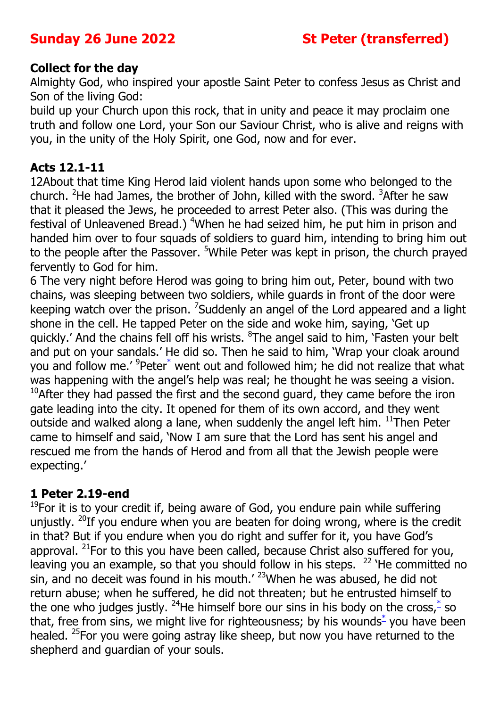#### **Collect for the day**

Almighty God, who inspired your apostle Saint Peter to confess Jesus as Christ and Son of the living God:

build up your Church upon this rock, that in unity and peace it may proclaim one truth and follow one Lord, your Son our Saviour Christ, who is alive and reigns with you, in the unity of the Holy Spirit, one God, now and for ever.

#### **Acts 12.1-11**

12About that time King Herod laid violent hands upon some who belonged to the church. <sup>2</sup>He had James, the brother of John, killed with the sword. <sup>3</sup>After he saw that it pleased the Jews, he proceeded to arrest Peter also. (This was during the festival of Unleavened Bread.) <sup>4</sup>When he had seized him, he put him in prison and handed him over to four squads of soldiers to guard him, intending to bring him out to the people after the Passover. <sup>5</sup>While Peter was kept in prison, the church prayed fervently to God for him.

6 The very night before Herod was going to bring him out, Peter, bound with two chains, was sleeping between two soldiers, while guards in front of the door were keeping watch over the prison. <sup>7</sup>Suddenly an angel of the Lord appeared and a light shone in the cell. He tapped Peter on the side and woke him, saying, 'Get up quickly.' And the chains fell off his wrists. <sup>8</sup>The angel said to him, 'Fasten your belt and put on your sandals.' He did so. Then he said to him, 'Wrap your cloak around you and follow me.' <sup>9</sup>Peter<sup>\*</sup> went out and followed him; he did not realize that what was happening with the angel's help was real; he thought he was seeing a vision.  $10$ After they had passed the first and the second guard, they came before the iron gate leading into the city. It opened for them of its own accord, and they went outside and walked along a lane, when suddenly the angel left him.  $^{11}$ Then Peter came to himself and said, 'Now I am sure that the Lord has sent his angel and rescued me from the hands of Herod and from all that the Jewish people were expecting.'

### **1 Peter 2.19-end**

 $19$ For it is to your credit if, being aware of God, you endure pain while suffering unjustly. <sup>20</sup>If you endure when you are beaten for doing wrong, where is the credit in that? But if you endure when you do right and suffer for it, you have God's approval. <sup>21</sup>For to this you have been called, because Christ also suffered for you, leaving you an example, so that you should follow in his steps.  $22$  'He committed no sin, and no deceit was found in his mouth.'  $23$ When he was abused, he did not return abuse; when he suffered, he did not threaten; but he entrusted himself to the one who judges justly. <sup>24</sup>He himself bore our sins in his body on the cross, $\stackrel{*}{\ }$  so that, free from sins, we might live for righteousness; by his wounds $*$  you have been healed. <sup>25</sup>For you were going astray like sheep, but now you have returned to the shepherd and guardian of your souls.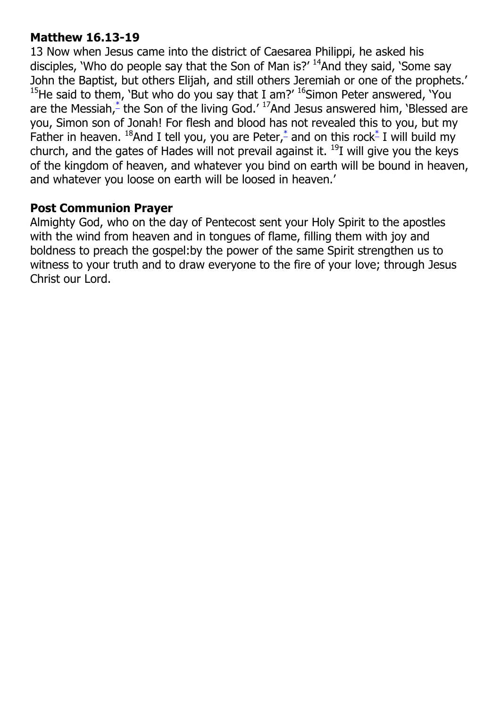## **Matthew 16.13-19**

13 Now when Jesus came into the district of Caesarea Philippi, he asked his disciples, 'Who do people say that the Son of Man is?'  $14$ And they said, 'Some say John the Baptist, but others Elijah, and still others Jeremiah or one of the prophets.' <sup>15</sup>He said to them, 'But who do you say that I am?'  $^{16}$ Simon Peter answered, 'You are the Messiah, $\stackrel{*}{\text{-}}$  the Son of the living God.'  $\frac{17}{2}$  And Jesus answered him, 'Blessed are you, Simon son of Jonah! For flesh and blood has not revealed this to you, but my Father in heaven. <sup>18</sup>And I tell you, you are Peter,  $\phi$  and on this rock  $\phi$  I will build my church, and the gates of Hades will not prevail against it.  $^{19}$ I will give you the keys of the kingdom of heaven, and whatever you bind on earth will be bound in heaven, and whatever you loose on earth will be loosed in heaven.'

#### **Post Communion Prayer**

Almighty God, who on the day of Pentecost sent your Holy Spirit to the apostles with the wind from heaven and in tongues of flame, filling them with joy and boldness to preach the gospel:by the power of the same Spirit strengthen us to witness to your truth and to draw everyone to the fire of your love; through Jesus Christ our Lord.